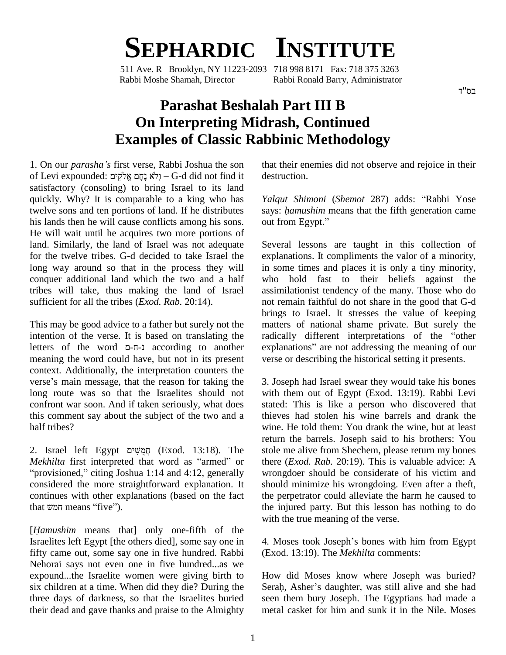## **SEPHARDIC INSTITUTE**

511 Ave. R Brooklyn, NY 11223-2093 718 998 8171 Fax: 718 375 3263 Rabbi Moshe Shamah, Director Rabbi Ronald Barry, Administrator

## **Parashat Beshalah Part III B On Interpreting Midrash, Continued Examples of Classic Rabbinic Methodology**

1. On our *parashaí<sup>s</sup>* first verse, Rabbi Joshua the son of Levi expounded: לֹא נַחֲם אֱלֹקִים) – G-d did not find it satisfactory (consoling) to bring Israel to its land quickly. Why? It is comparable to a king who has twelve sons and ten portions of land. If he distributes says: *hamushim* is lands then he will cause conflicts among his sons. out from Egypt." his lands then he will cause conflicts among his sons. He will wait until he acquires two more portions of land. Similarly, the land of Israel was not adequate for the twelve tribes. G-d decided to take Israel the long way around so that in the process they will conquer additional land which the two and a half tribes will take, thus making the land of Israel sufficient for all the tribes (*Exod. Rab.* 20:14).

This may be good advice to a father but surely not the mation of the verse. It is based on translating the radiate radiate radiate radiate verse. It is based on translating the radiate radiate radiate radiate radiate radi intention of the verse. It is based on translating the radically different interpretations of the "other meaning the word could have, but not in its present context. Additionally, the interpretation counters the verse's main message, that the reason for taking the long route was so that the Israelites should not confront war soon. And if taken seriously, what does this comment say about the subject of the two and a half tribes? in<br>12. Israel left Egypt תֲּמֻשִׁים (Exod. 13:18). The stol

re<br>Z. Israel left Egypt <u>חֲמֻ</u>שִׁים (Exod. 13:18). The st<br>*Mekhilta* first interpreted that word as "armed" or <sup>i</sup> th provisioned," citing Joshua 1:14 and 4:12, generally when the provisioned," citing Joshua 1:14 and 4:12, generally considered the more straightforward explanation. It continues with other explanations (based on the fact considered the more straig continues with other explare<br>that  $w$ <sup>n</sup> means "five"). [*Hamushim* means that] only one-fifth of the

Israelites left Egypt [the others died], some say one in fifty came out, some say one in five hundred. Rabbi Nehorai says not even one in five hundred...as we expound...the Israelite women were giving birth to six children at a time. When did they die? During the three days of darkness, so that the Israelites buried their dead and gave thanks and praise to the Almighty

that their enemies did not observe and rejoice in their destruction. destruction.<br>*Yalqut Shimoni (Shemot 287)* adds: "Rabbi Yose

says: *<sup>h</sup>amushim* means that the fifth generation came *Yalqut Shimoni (Shemo*<br>says: *hamushim* means th<br>out from Egypt."

Several lessons are taught in this collection of explanations. It compliments the valor of a minority, in some times and places it is only a tiny minority, who hold fast to their beliefs against the assimilationist tendency of the many. Those who do not remain faithful do notshare in the good that G-d brings to Israel. It stresses the value of keeping<br>matters of national shame private. But surely the<br>radically different interpretations of the "other matters of national shame private. But surely the explanations" are not addressing the meaning of our verse or describing the historical setting it presents.

3. Joseph had Israel swear they would take his bones with them out of Egypt (Exod. 13:19). Rabbi Levi stated: This is like a person who discovered that thieves had stolen his wine barrels and drank the wine. He told them: You drank the wine, but at least return the barrels. Joseph said to his brothers: You stole me alive from Shechem, please return my bones there (*Exod. Rab.* 20:19). This is valuable advice: A wrongdoer should be considerate of his victim and should minimize his wrongdoing. Even after a theft, the perpetrator could alleviate the harm he caused to the injured party. But this lesson has nothing to do with the true meaning of the verse.

4. Moses took Joseph's bones with him from Egypt (Exod. 13:19). The *Mekhilta* comments:

How did Moses know where Joseph was buried? Serah, Asher's daughter, was still alive and she had seen them bury Joseph. The Egyptians had made a metal casket for him and sunk it in the Nile. Moses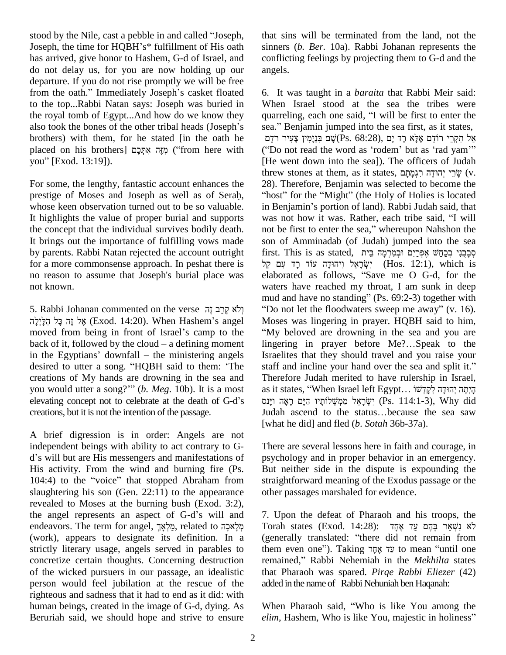stood by the Nile, cast a pebble in and called "Joseph, Joseph, the time for HQBH's\* fulfillment of His oath has arrived, give honor to Hashem, G-d of Israel, and do not delay us, for you are now holding up our ange<br>departure. If you do not rise promptly we will be free<br>from the oath." Immediately Joseph's casket floated 6. I departure. If you do not rise promptly we will be free to the top...Rabbi Natan says: Joseph was buried in Whe<br>the royal tomb of Egypt...And how do we know they quari-<br>also took the bones of the other tribal heads (Joseph's sea." the royal tomb of Egypt...And how do we know they quarreling, each one said, "I will be first to enter the brothers) with them, for he stated [in the oath he you<sup>î</sup> [Exod. 13:19]). also took the bones of the other tribal heads (Joseph's sea." Benjamin jumped into the sea first, as it states, brothers) with them, for he stated [in the oath he  $\frac{1}{2}$ אָל הִקְרֵי רוֹדֵם אֶלָּא רָד יָם (Ps. 68:28), א

For some, the lengthy, fantastic account enhances the prestige of Moses and Joseph as well as of Serah, whose keen observation turned out to be so valuable. It highlights the value of proper burial and supports was not how it was. Rather, each tribe said, "I will the concept that the individual survives bodily death. In ot be first to enter the sea," whereupon Nahshon the the concept that the individual survives bodily death. It brings out the importance of fulfilling vows made by parents. Rabbi Natan rejected the account outright for a more commonsense approach. In peshat there is "יִשְׂרָאֵל וְיהוּדָה עוֹד רַד עָם קָל (Hos. 12:1), which is no reason to assume that Joseph's burial place was not known.

אֵל זֶה כַּל הַלֵּיְלָה (Exod. 14:20). When Hashem's angel moved from being in front of Israel's camp to the אֱל זֶה כָּל הַלָּיְלָה (Exod. 14:20). When Hashem's angel<br>moved from being in front of Israel's camp to the<br>back of it, followed by the cloud – a defining moment 1 moved from being in front of Israel's camp to the "Wheat of it, followed by the cloud – a defining moment line in the Egyptians' downfall – the ministering angels Isr back of it, followed by the cloud – a defining moment<br>in the Egyptians' downfall – the ministering angels<br>desired to utter a song. "HQBH said to them: 'The staf creations of My hands are drowning in the sea and desired to utter a song. "HQBH said to them: 'The staff and incline your hand over the sea and split it." you would utter a song?"" (b. Meg. 10b). It is a most as it states, "When Israel left Egypt... קיִתְה יְהוּדָה לְקַדְשׁוֹ<br>elevating concept not to celebrate at the death of G-d's וינס ראה וינס (Ps. 114:1-3), Why did creations, but it is not the intention of the passage.

A brief digression is in order: Angels are not independent beings with ability to act contrary to G- A brief digression is in order: Angels are not<br>independent beings with ability to act contrary to G-<br>d's will but are His messengers and manifestations of ps His activity. From the wind and burning fire (Ps. d's will but are His messengers and manifestations of<br>His activity. From the wind and burning fire (Ps.<br>104:4) to the "voice" that stopped Abraham from slaughtering his son (Gen. 22:11) to the appearance other<br>revealed to Moses at the burning bush (Exod. 3:2),<br>the angel represents an aspect of G-d's will and 7. U revealed to Moses at the burning bush (Exod. 3:2), the angel represents an aspect of G-d's will and 7. Upon the defeat of Pharaoh and his troops, the endeavors. The term for angel, מֵלְאֵךָ related to מְלָאוֹר (Exod. 14:28): לֹא נשׁאַר בַּהֵם עַד אֲחַד (work), appears to designate its definition. In a strictly literary usage, angels served in parables to concretize certain thoughts. Concerning destruction remained," Rabbi Nehemiah in the Mekhilta states of the wicked pursuers in our passage, an idealistic person would feel jubilation at the rescue of the righteous and sadness that it had to end as itdid: with human beings, created in the image of G-d, dying. As Beruriah said, we should hope and strive to ensure *elim*, Hashem, Who is like You, majestic in holiness"

that sins will be terminated from the land, not the sinners (*b. Ber.* 10a). Rabbi Johanan represents the conflicting feelings by projecting them to G-d and the angels.

mud and have no standing" (Ps. 69:2-3) together with<br>5. Rabbi Johanan commented on the verse 
"לֹא קַרָב זֶה "Do not let the floodwaters sweep me away" (v. 16). 6. It was taught in a *baraita* that Rabbi Meir said:<br>When Israel stood at the sea the tribes were<br>quarreling, each one said, "I will be first to enter the When Israel stood at the sea the tribes were When Israel stood at the sea the tribes were quarreling, each one said, "I will be first to enter the sea." Benjamin jumped into the sea first, as it states, eling, each one said, "I will be first to enter the<br>Benjamin jumped into the sea first, as it states,<br>אֲל תִקְרֵי רוֹדָם אֶלָּא רָד יָם (Ps. 68:28) sea." Benjamin jumped into the sea first, as it states,<br>אֱל תִּקְרֵי רוֹדָם אֶלֶא רָד יָם (Ps. 68:28) אֱל תִּקְרֵי רוֹדָם אֶלָּא רָד<br>"Do not read the word as 'rodem' but as 'rad yam'" [He went down into the sea]). The officers of Judah the word as 'rodem' but as 'rad yam'''<br>(He went down into the sea]). The officers of Judah<br>threw stones at them, as it states, יְהוּדָה רִגְמָתָם (v. 28). Therefore, Benjamin was selected to become the "host" for the "Might" (the Holy of Holies is located 28). Therefore, Benjamin was selected to become the "host" for the "Might" (the Holy of Holies is located in Benjamin's portion of land). Rabbi Judah said, that "host" for the "Might" (the Holy of Holies is located<br>in Benjamin's portion of land). Rabbi Judah said, that<br>was not how it was. Rather, each tribe said, "I will in Benjamin's portion of land). Rabbi Judah said, that<br>was not how it was. Rather, each tribe said, "I will<br>not be first to enter the sea," whereupon Nahshon the son of Amminadab (of Judah) jumped into the sea not be first to enter the sea," whereupon Nahshon the<br>son of Amminadab (of Judah) jumped into the sea<br>קּבְרֵיִ ּרְכַחֲשׁ אֶפְּרַיִם וּבְמִרְמָּה בֵּיח of Amminadab (of Judah) jumped into the sea<br>t. This is as stated, פְּבָנִי בְּכַחַשׁ אֶפְרַיִם וּבְמִרְמָה בֵּית<br>יִשְׂרָאֵל (יִהוּדָה עוֹד רָד עָם) (Hos. 12:1), which is first. This is as stated, מְבָבִי בְּכַחֲשׁ אֶפְרַיִּם וּבְמִרְמָּה בֵּית<br>יִשְׂרָאֵל וִיהוּדָה עוֹד רָד עִם קֵל (Hos. 12:1), which is elaborated as follows, "Save me O G-d, for the waters have reached my throat, I am sunk in deep<br>mud and have no standing" (Ps. 69:2-3) together with<br>"Do not let the floodwaters sweep me away" (v. 16). elaborated as follows, "Save me O G-d, for the waters have reached my throat, I am sunk in deep mud and have no standing" (Ps. 69:2-3) together with "Do not let the floodwaters sweep me away" (v. 16).<br>Moses was lingering in prayer. HQBH said to him, My beloved are drowning in the sea and you are Moses was lingering in prayer. HQBH said to him,<br>"My beloved are drowning in the sea and you are<br>lingering in prayer before Me?...Speak to the Israelites that they should travel and you raise your lingering in prayer before Me?...Speak to the Therefore Judah merited to have rulership in Israel, staff and incline your hand over the sea and split it."<br>Therefore Judah merited to have rulership in Israel,<br>as it states, "When Israel left Egypt... קִיקָה יְהוּדָה לְקָדָשׁוֹ efore Judah merited to have rulership in Israel,<br>states, "When Israel left Egypt… הָיְתָה יְהוּדָה לְקָדְשׁוֹ.. שְׁמְאֵל מַמְשְׁלוֹתָיו הַיָּם רָאָה<br>יִשְׂרָאֵל מַמְשְׁלוֹתָיו הַיָּם רָאָה (Ps. 114:1-3), Why did as it states, "When Israel left Egypt… הִיְתָה יְהוּדָה לְקָדְשׁוּ (Ps. 114:1-3), Why did<br>Why did יִשְׂרָאֵל מַמְשְׁלוֹתָיו הַיָּם רָאָה ויָנס (Ps. 114:1-3), Why did<br>Judah ascend to the status…because the sea saw [what he did] and fled (*b*. *Sotah* 36b-37a).

> There are several lessons here in faith and courage, in psychology and in proper behavior in an emergency. But neither side in the dispute is expounding the straightforward meaning of the Exodus passage or the other passages marshaled for evidence.

7. Upon the defeat of Pharaoh and his troops, the Torah states (Exod. 14:28): ה<br>Torah states (Exod. 14:28): לֹא יָטְאֵר בָּהֶם עַד אֶחָד (קיב (קיב 19 - Torah states (Exod. 14:28): לֹא נִשְׁאַר בָּהֶם עַד אֶחָד<br>לֹא נִשְׁאַר בָּהֶם עַד אֶחָד<br>(generally translated: "there did not remain from רֹא נִשְׁאֵר בָּהֶם עַד אֶחָד (Exod. 14:28):<br>(generally translated: "there did not remain from them even one"). Taking עַד אֶחֶד to mean "until one (generally translated: "there did not remain from<br>them even one"). Taking עַד אֶחָד to mean "until one<br>remained," Rabbi Nehemiah in the *Mekhilta* states that Pharaoh was spared. *Pirqe Rabbi Eliezer* (42) added in the name of Rabbi Nehuniah ben Haqanah: added in the name of Rabbi Nehuniah ben Haqanah:<br>When Pharaoh said, "Who is like You among the

When Pharaoh said, "Who is like You among the *elim*, Hashem, Who is like You, majestic in holiness"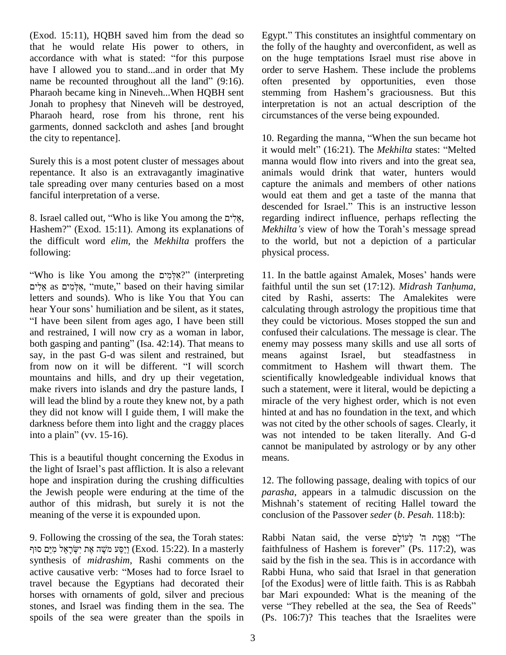(Exod. 15:11), HQBH saved him from the dead so that he would relate His power to others, in (Exod. 15:11), HQBH saved him from the dead so Egy<br>that he would relate His power to others, in the<br>accordance with what is stated: "for this purpose on have I allowed you to stand...and in order that My accordance with what is stated: "for this purpose<br>have I allowed you to stand...and in order that My<br>name be recounted throughout all the land" (9:16). Pharaoh became king in Nineveh...When HQBH sent stemming from Hashem's graciousness. But this Jonah to prophesy that Nineveh will be destroyed, Pharaoh heard, rose from his throne, rent his garments, donned sackcloth and ashes [and brought the city to repentance].

Surely this is a most potent cluster of messages about repentance. It also is an extravagantly imaginative tale spreading over many centuries based on a most fanciful interpretation of a verse. fanciful interpretation of a verse.<br>8. Israel called out, "Who is like You among the אֵיֽ

d<br>B. Israel called out, "Who is like You among the אֲלִים, re<br>Hashem?" (Exod. 15:11). Among its explanations of M the difficult word *elim,* the *Mekhilta* proffers the following: phys<br>Who is like You among the יְיָאֵלְמִיִם (interpreting 11. I

as is like You among the יְאִלְמִים? (interpreting 1)<br>as אִלְמִים, "mute," based on their having similar fa letters and sounds). Who is like You that You can אָלְמִים as אֱלִים, "mute," based on their having similar letters and sounds). Who is like You that You can hear Your sons' humiliation and be silent, as it states, "I have been silent from ages ago, I have been still they and restrained, I will now cry as a woman in labor, confl<br>both gasping and panting" (Isa. 42:14). That means to enem and restrained, I will now cryas a woman in labor, say, in the past G-d was silent and restrained, but means both gasping and panting" (Isa. 42:14). That means to say, in the past G-d was silent and restrained, but from now on it will be different. "I will scorch mountains and hills, and dry up their vegetation, make rivers into islands and dry the pasture lands, I will lead the blind by a route they knew not, by a path they did not know will I guide them, I will make the darkness before them into light and the craggy places wa they did not know will I guid<br>darkness before them into lig<br>into a plain" (vv. 15-16).

This is a beautiful thought concerning the Exodus in the light of Israel's past affliction. It is also a relevant hope and inspiration during the crushing difficulties the Jewish people were enduring at the time of the author of this midrash, but surely it is not the meaning of the verse it is expounded upon.

9. Following the crossing of the sea, the Torah states: וַיַסַע מֹשֶׁה אֶת יִשְׂרָאֵל מַיַּם סוּף (Exod. 15:22). In a masterly – faithfulness of Hashem is forever" (Ps. 117:2), was synthesis of *midrashim*, Rashi comments on the active causative verb: "Moses had to force Israel to travel because the Egyptians had decorated their horses with ornaments of gold, silver and precious stones, and Israel was finding them in the sea. The verse "They rebelled at the sea, the Sea of Reeds" spoils of the sea were greater than the spoils in

Egypt." This constitutes an insightful commentary on the folly of the haughty and overconfident, as well as on the huge temptations Israel must rise above in order to serve Hashem. These include the problems often presented by opportunities, even those order to serve Hashem. These include the problems<br>often presented by opportunities, even those<br>stemming from Hashem's graciousness. But this interpretation is not an actual description of the circumstances of the verse being expounded.

10. Regarding the manna, "When the sun became hot it would melt" (16:21). The *Mekhilta* states: "Melted manna would flow into rivers and into the great sea, animals would drink that water, hunters would capture the animals and members of other nations<br>would eat them and get a taste of the manna that<br>descended for Israel." This is an instructive lesson would eat them and get a taste of the manna that regarding indirect influence, perhaps reflecting the descended for Israel." This is an instructive lesson<br>regarding indirect influence, perhaps reflecting the<br>*Mekhilta's* view of how the Torah's message spread to the world, but not a depiction of a particular physical process.

11. In the battle against Amalek, Moses' hands were faithful until the sun set (17:12). *Midrash Tanhuma*, cited by Rashi, asserts: The Amalekites were calculating through astrology the propitious time that they could be victorious. Moses stopped the sun and confused their calculations. The message is clear. The enemy may possess many skills and use all sorts of against Israel, but steadfastness in commitment to Hashem will thwart them. The scientifically knowledgeable individual knows that such a statement, were it literal, would be depicting a miracle of the very highest order, which is not even hinted at and has no foundation in the text, and which was not cited by the other schools of sages. Clearly, it was not intended to be taken literally. And G-d cannot be manipulated by astrology or by any other means.

12. The following passage, dealing with topics of our *parasha*, appears in a talmudic discussion on the Mishnah's statement of reciting Hallel toward the conclusion of the Passover *seder* (*b*. *Pesah.* 118:b): ʤconclusion of the Passover *seder (b. Pesah.* 118:b):<br>Rabbi Natan said, the verse לְעוֹלָם (The '

faithfulness of Hashem is forever<sup>î</sup> (Ps. 117:2), was said by the fish in the sea. This is in accordance with Rabbi Huna, who said that Israel in that generation [of the Exodus] were of little faith. This is as Rabbah bar Mari expounded: What is the meaning of the [of the Exodus] were of little faith. This is as Rabbah<br>bar Mari expounded: What is the meaning of the<br>verse "They rebelled at the sea, the Sea of Reeds" (Ps. 106:7)? This teaches that the Israelites were